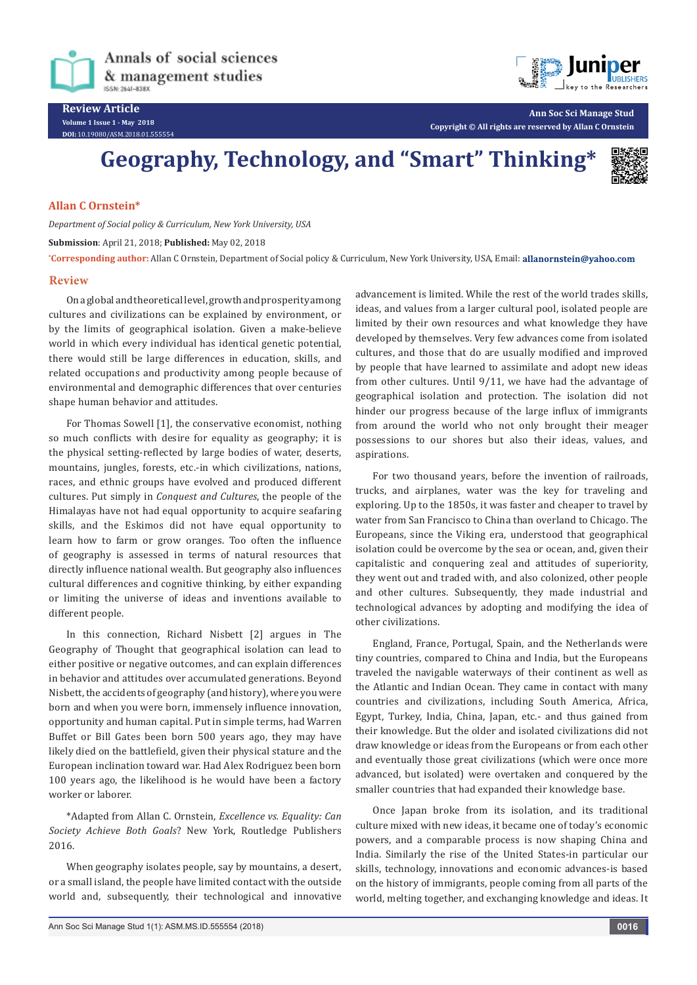

**DOI:** [10.19080/ASM.2018.01.555554](http://dx.doi.org/10.19080/ASM.2018.01.555554
)



**Ann Soc Sci Manage Stud Copyright © All rights are reserved by Allan C Ornstein**

# **Geography, Technology, and "Smart" Thinking\***

## **Allan C Ornstein\***

*Department of Social policy & Curriculum, New York University, USA* **Submission**: April 21, 2018; **Published:** May 02, 2018 **\* Corresponding author:** Allan C Ornstein, Department of Social policy & Curriculum, New York University, USA, Email:

## **Review**

On a global and theoretical level, growth and prosperity among cultures and civilizations can be explained by environment, or by the limits of geographical isolation. Given a make-believe world in which every individual has identical genetic potential, there would still be large differences in education, skills, and related occupations and productivity among people because of environmental and demographic differences that over centuries shape human behavior and attitudes.

For Thomas Sowell [1], the conservative economist, nothing so much conflicts with desire for equality as geography; it is the physical setting-reflected by large bodies of water, deserts, mountains, jungles, forests, etc.-in which civilizations, nations, races, and ethnic groups have evolved and produced different cultures. Put simply in *Conquest and Cultures*, the people of the Himalayas have not had equal opportunity to acquire seafaring skills, and the Eskimos did not have equal opportunity to learn how to farm or grow oranges. Too often the influence of geography is assessed in terms of natural resources that directly influence national wealth. But geography also influences cultural differences and cognitive thinking, by either expanding or limiting the universe of ideas and inventions available to different people.

In this connection, Richard Nisbett [2] argues in The Geography of Thought that geographical isolation can lead to either positive or negative outcomes, and can explain differences in behavior and attitudes over accumulated generations. Beyond Nisbett, the accidents of geography (and history), where you were born and when you were born, immensely influence innovation, opportunity and human capital. Put in simple terms, had Warren Buffet or Bill Gates been born 500 years ago, they may have likely died on the battlefield, given their physical stature and the European inclination toward war. Had Alex Rodriguez been born 100 years ago, the likelihood is he would have been a factory worker or laborer.

\*Adapted from Allan C. Ornstein, *Excellence vs. Equality: Can Society Achieve Both Goals*? New York, Routledge Publishers 2016.

When geography isolates people, say by mountains, a desert, or a small island, the people have limited contact with the outside world and, subsequently, their technological and innovative advancement is limited. While the rest of the world trades skills, ideas, and values from a larger cultural pool, isolated people are limited by their own resources and what knowledge they have developed by themselves. Very few advances come from isolated cultures, and those that do are usually modified and improved by people that have learned to assimilate and adopt new ideas from other cultures. Until 9/11, we have had the advantage of geographical isolation and protection. The isolation did not hinder our progress because of the large influx of immigrants from around the world who not only brought their meager possessions to our shores but also their ideas, values, and aspirations.

For two thousand years, before the invention of railroads, trucks, and airplanes, water was the key for traveling and exploring. Up to the 1850s, it was faster and cheaper to travel by water from San Francisco to China than overland to Chicago. The Europeans, since the Viking era, understood that geographical isolation could be overcome by the sea or ocean, and, given their capitalistic and conquering zeal and attitudes of superiority, they went out and traded with, and also colonized, other people and other cultures. Subsequently, they made industrial and technological advances by adopting and modifying the idea of other civilizations.

England, France, Portugal, Spain, and the Netherlands were tiny countries, compared to China and India, but the Europeans traveled the navigable waterways of their continent as well as the Atlantic and Indian Ocean. They came in contact with many countries and civilizations, including South America, Africa, Egypt, Turkey, India, China, Japan, etc.- and thus gained from their knowledge. But the older and isolated civilizations did not draw knowledge or ideas from the Europeans or from each other and eventually those great civilizations (which were once more advanced, but isolated) were overtaken and conquered by the smaller countries that had expanded their knowledge base.

Once Japan broke from its isolation, and its traditional culture mixed with new ideas, it became one of today's economic powers, and a comparable process is now shaping China and India. Similarly the rise of the United States-in particular our skills, technology, innovations and economic advances-is based on the history of immigrants, people coming from all parts of the world, melting together, and exchanging knowledge and ideas. It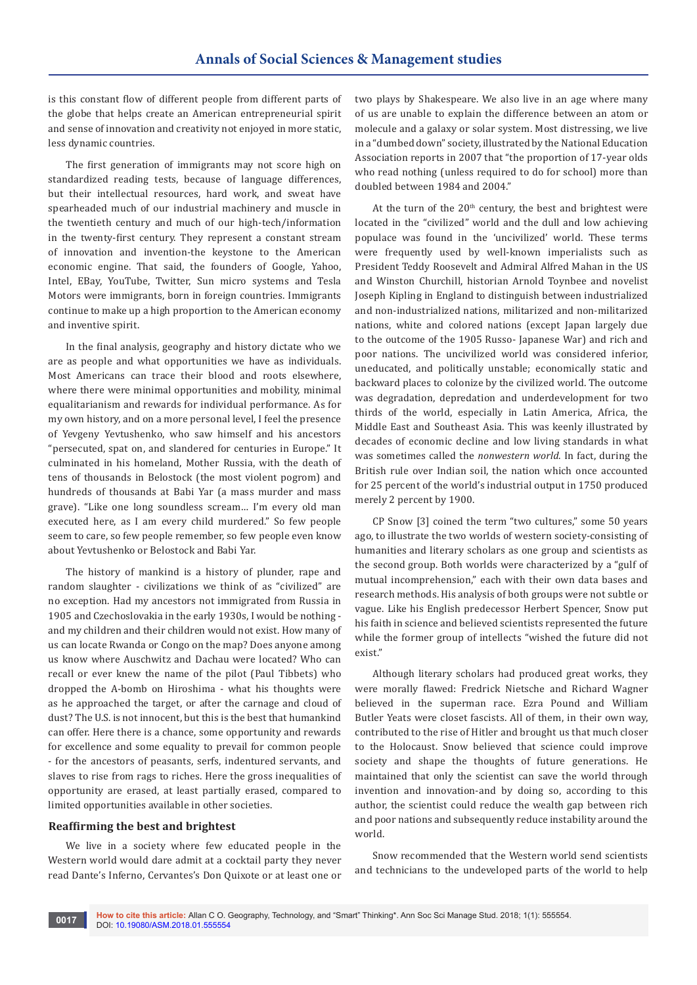is this constant flow of different people from different parts of the globe that helps create an American entrepreneurial spirit and sense of innovation and creativity not enjoyed in more static, less dynamic countries.

The first generation of immigrants may not score high on standardized reading tests, because of language differences, but their intellectual resources, hard work, and sweat have spearheaded much of our industrial machinery and muscle in the twentieth century and much of our high-tech/information in the twenty-first century. They represent a constant stream of innovation and invention-the keystone to the American economic engine. That said, the founders of Google, Yahoo, Intel, EBay, YouTube, Twitter, Sun micro systems and Tesla Motors were immigrants, born in foreign countries. Immigrants continue to make up a high proportion to the American economy and inventive spirit.

In the final analysis, geography and history dictate who we are as people and what opportunities we have as individuals. Most Americans can trace their blood and roots elsewhere, where there were minimal opportunities and mobility, minimal equalitarianism and rewards for individual performance. As for my own history, and on a more personal level, I feel the presence of Yevgeny Yevtushenko, who saw himself and his ancestors "persecuted, spat on, and slandered for centuries in Europe." It culminated in his homeland, Mother Russia, with the death of tens of thousands in Belostock (the most violent pogrom) and hundreds of thousands at Babi Yar (a mass murder and mass grave). "Like one long soundless scream… I'm every old man executed here, as I am every child murdered." So few people seem to care, so few people remember, so few people even know about Yevtushenko or Belostock and Babi Yar.

The history of mankind is a history of plunder, rape and random slaughter - civilizations we think of as "civilized" are no exception. Had my ancestors not immigrated from Russia in 1905 and Czechoslovakia in the early 1930s, I would be nothing and my children and their children would not exist. How many of us can locate Rwanda or Congo on the map? Does anyone among us know where Auschwitz and Dachau were located? Who can recall or ever knew the name of the pilot (Paul Tibbets) who dropped the A-bomb on Hiroshima - what his thoughts were as he approached the target, or after the carnage and cloud of dust? The U.S. is not innocent, but this is the best that humankind can offer. Here there is a chance, some opportunity and rewards for excellence and some equality to prevail for common people - for the ancestors of peasants, serfs, indentured servants, and slaves to rise from rags to riches. Here the gross inequalities of opportunity are erased, at least partially erased, compared to limited opportunities available in other societies.

## **Reaffirming the best and brightest**

We live in a society where few educated people in the Western world would dare admit at a cocktail party they never read Dante's Inferno, Cervantes's Don Quixote or at least one or two plays by Shakespeare. We also live in an age where many of us are unable to explain the difference between an atom or molecule and a galaxy or solar system. Most distressing, we live in a "dumbed down" society, illustrated by the National Education Association reports in 2007 that "the proportion of 17-year olds who read nothing (unless required to do for school) more than doubled between 1984 and 2004."

At the turn of the  $20<sup>th</sup>$  century, the best and brightest were located in the "civilized" world and the dull and low achieving populace was found in the 'uncivilized' world. These terms were frequently used by well-known imperialists such as President Teddy Roosevelt and Admiral Alfred Mahan in the US and Winston Churchill, historian Arnold Toynbee and novelist Joseph Kipling in England to distinguish between industrialized and non-industrialized nations, militarized and non-militarized nations, white and colored nations (except Japan largely due to the outcome of the 1905 Russo- Japanese War) and rich and poor nations. The uncivilized world was considered inferior, uneducated, and politically unstable; economically static and backward places to colonize by the civilized world. The outcome was degradation, depredation and underdevelopment for two thirds of the world, especially in Latin America, Africa, the Middle East and Southeast Asia. This was keenly illustrated by decades of economic decline and low living standards in what was sometimes called the *nonwestern world*. In fact, during the British rule over Indian soil, the nation which once accounted for 25 percent of the world's industrial output in 1750 produced merely 2 percent by 1900.

CP Snow [3] coined the term "two cultures," some 50 years ago, to illustrate the two worlds of western society-consisting of humanities and literary scholars as one group and scientists as the second group. Both worlds were characterized by a "gulf of mutual incomprehension," each with their own data bases and research methods. His analysis of both groups were not subtle or vague. Like his English predecessor Herbert Spencer, Snow put his faith in science and believed scientists represented the future while the former group of intellects "wished the future did not exist."

Although literary scholars had produced great works, they were morally flawed: Fredrick Nietsche and Richard Wagner believed in the superman race. Ezra Pound and William Butler Yeats were closet fascists. All of them, in their own way, contributed to the rise of Hitler and brought us that much closer to the Holocaust. Snow believed that science could improve society and shape the thoughts of future generations. He maintained that only the scientist can save the world through invention and innovation-and by doing so, according to this author, the scientist could reduce the wealth gap between rich and poor nations and subsequently reduce instability around the world.

Snow recommended that the Western world send scientists and technicians to the undeveloped parts of the world to help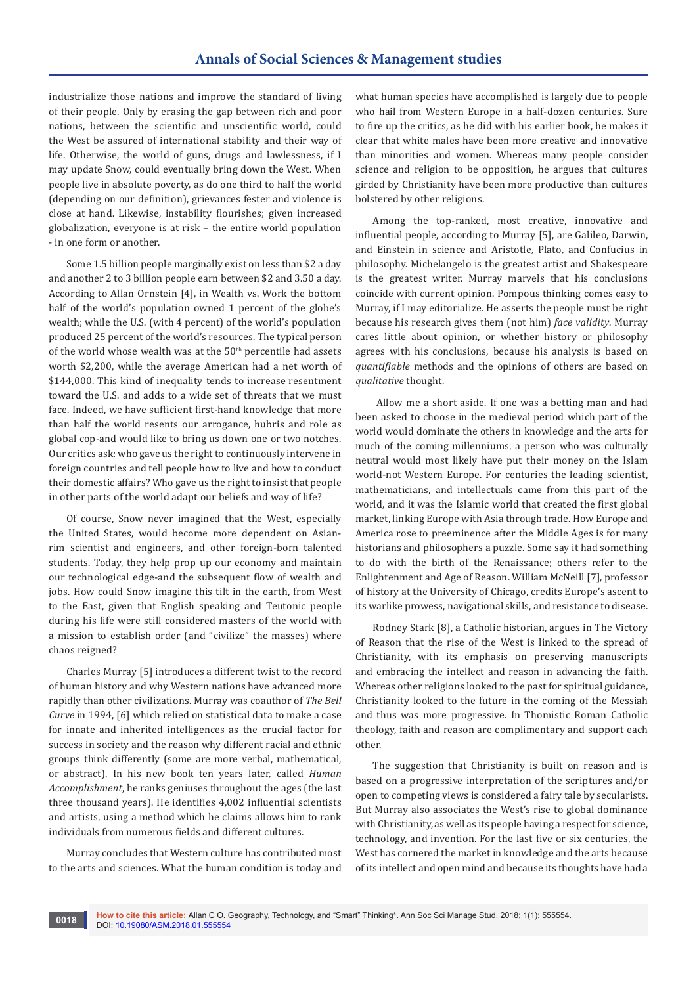industrialize those nations and improve the standard of living of their people. Only by erasing the gap between rich and poor nations, between the scientific and unscientific world, could the West be assured of international stability and their way of life. Otherwise, the world of guns, drugs and lawlessness, if I may update Snow, could eventually bring down the West. When people live in absolute poverty, as do one third to half the world (depending on our definition), grievances fester and violence is close at hand. Likewise, instability flourishes; given increased globalization, everyone is at risk – the entire world population - in one form or another.

Some 1.5 billion people marginally exist on less than \$2 a day and another 2 to 3 billion people earn between \$2 and 3.50 a day. According to Allan Ornstein [4], in Wealth vs. Work the bottom half of the world's population owned 1 percent of the globe's wealth; while the U.S. (with 4 percent) of the world's population produced 25 percent of the world's resources. The typical person of the world whose wealth was at the  $50<sup>th</sup>$  percentile had assets worth \$2,200, while the average American had a net worth of \$144,000. This kind of inequality tends to increase resentment toward the U.S. and adds to a wide set of threats that we must face. Indeed, we have sufficient first-hand knowledge that more than half the world resents our arrogance, hubris and role as global cop-and would like to bring us down one or two notches. Our critics ask: who gave us the right to continuously intervene in foreign countries and tell people how to live and how to conduct their domestic affairs? Who gave us the right to insist that people in other parts of the world adapt our beliefs and way of life?

Of course, Snow never imagined that the West, especially the United States, would become more dependent on Asianrim scientist and engineers, and other foreign-born talented students. Today, they help prop up our economy and maintain our technological edge-and the subsequent flow of wealth and jobs. How could Snow imagine this tilt in the earth, from West to the East, given that English speaking and Teutonic people during his life were still considered masters of the world with a mission to establish order (and "civilize" the masses) where chaos reigned?

Charles Murray [5] introduces a different twist to the record of human history and why Western nations have advanced more rapidly than other civilizations. Murray was coauthor of *The Bell Curve* in 1994, [6] which relied on statistical data to make a case for innate and inherited intelligences as the crucial factor for success in society and the reason why different racial and ethnic groups think differently (some are more verbal, mathematical, or abstract). In his new book ten years later, called *Human Accomplishment*, he ranks geniuses throughout the ages (the last three thousand years). He identifies 4,002 influential scientists and artists, using a method which he claims allows him to rank individuals from numerous fields and different cultures.

Murray concludes that Western culture has contributed most to the arts and sciences. What the human condition is today and

what human species have accomplished is largely due to people who hail from Western Europe in a half-dozen centuries. Sure to fire up the critics, as he did with his earlier book, he makes it clear that white males have been more creative and innovative than minorities and women. Whereas many people consider science and religion to be opposition, he argues that cultures girded by Christianity have been more productive than cultures bolstered by other religions.

Among the top-ranked, most creative, innovative and influential people, according to Murray [5], are Galileo, Darwin, and Einstein in science and Aristotle, Plato, and Confucius in philosophy. Michelangelo is the greatest artist and Shakespeare is the greatest writer. Murray marvels that his conclusions coincide with current opinion. Pompous thinking comes easy to Murray, if I may editorialize. He asserts the people must be right because his research gives them (not him) *face validity*. Murray cares little about opinion, or whether history or philosophy agrees with his conclusions, because his analysis is based on *quantifiable* methods and the opinions of others are based on *qualitative* thought.

 Allow me a short aside. If one was a betting man and had been asked to choose in the medieval period which part of the world would dominate the others in knowledge and the arts for much of the coming millenniums, a person who was culturally neutral would most likely have put their money on the Islam world-not Western Europe. For centuries the leading scientist, mathematicians, and intellectuals came from this part of the world, and it was the Islamic world that created the first global market, linking Europe with Asia through trade. How Europe and America rose to preeminence after the Middle Ages is for many historians and philosophers a puzzle. Some say it had something to do with the birth of the Renaissance; others refer to the Enlightenment and Age of Reason. William McNeill [7], professor of history at the University of Chicago, credits Europe's ascent to its warlike prowess, navigational skills, and resistance to disease.

Rodney Stark [8], a Catholic historian, argues in The Victory of Reason that the rise of the West is linked to the spread of Christianity, with its emphasis on preserving manuscripts and embracing the intellect and reason in advancing the faith. Whereas other religions looked to the past for spiritual guidance, Christianity looked to the future in the coming of the Messiah and thus was more progressive. In Thomistic Roman Catholic theology, faith and reason are complimentary and support each other.

The suggestion that Christianity is built on reason and is based on a progressive interpretation of the scriptures and/or open to competing views is considered a fairy tale by secularists. But Murray also associates the West's rise to global dominance with Christianity, as well as its people having a respect for science, technology, and invention. For the last five or six centuries, the West has cornered the market in knowledge and the arts because of its intellect and open mind and because its thoughts have had a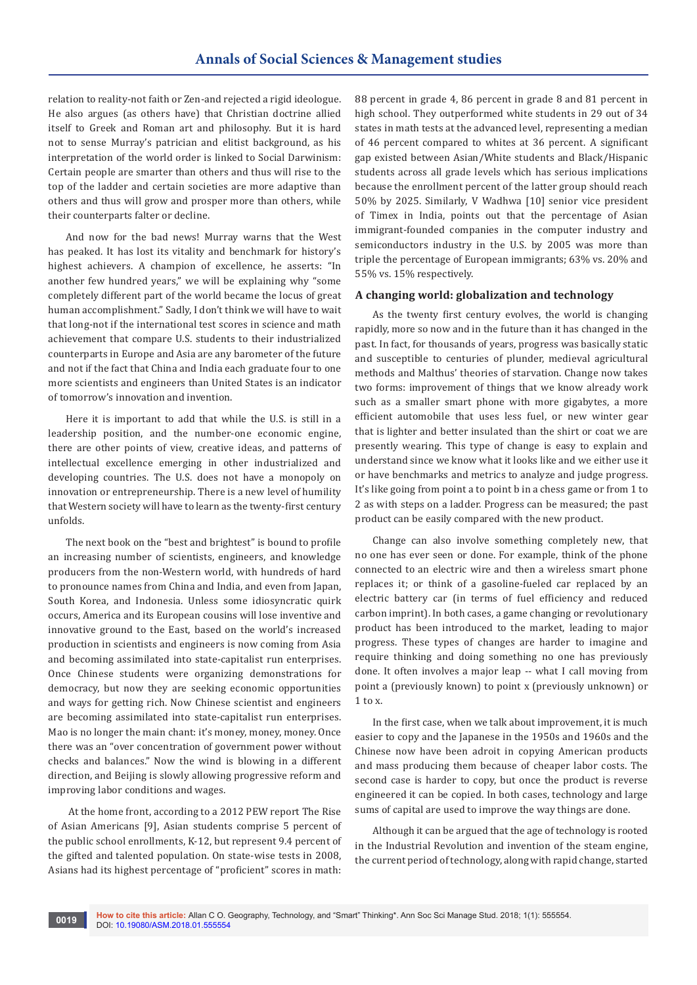relation to reality-not faith or Zen-and rejected a rigid ideologue. He also argues (as others have) that Christian doctrine allied itself to Greek and Roman art and philosophy. But it is hard not to sense Murray's patrician and elitist background, as his interpretation of the world order is linked to Social Darwinism: Certain people are smarter than others and thus will rise to the top of the ladder and certain societies are more adaptive than others and thus will grow and prosper more than others, while their counterparts falter or decline.

And now for the bad news! Murray warns that the West has peaked. It has lost its vitality and benchmark for history's highest achievers. A champion of excellence, he asserts: "In another few hundred years," we will be explaining why "some completely different part of the world became the locus of great human accomplishment." Sadly, I don't think we will have to wait that long-not if the international test scores in science and math achievement that compare U.S. students to their industrialized counterparts in Europe and Asia are any barometer of the future and not if the fact that China and India each graduate four to one more scientists and engineers than United States is an indicator of tomorrow's innovation and invention.

Here it is important to add that while the U.S. is still in a leadership position, and the number-one economic engine, there are other points of view, creative ideas, and patterns of intellectual excellence emerging in other industrialized and developing countries. The U.S. does not have a monopoly on innovation or entrepreneurship. There is a new level of humility that Western society will have to learn as the twenty-first century unfolds.

The next book on the "best and brightest" is bound to profile an increasing number of scientists, engineers, and knowledge producers from the non-Western world, with hundreds of hard to pronounce names from China and India, and even from Japan, South Korea, and Indonesia. Unless some idiosyncratic quirk occurs, America and its European cousins will lose inventive and innovative ground to the East, based on the world's increased production in scientists and engineers is now coming from Asia and becoming assimilated into state-capitalist run enterprises. Once Chinese students were organizing demonstrations for democracy, but now they are seeking economic opportunities and ways for getting rich. Now Chinese scientist and engineers are becoming assimilated into state-capitalist run enterprises. Mao is no longer the main chant: it's money, money, money. Once there was an "over concentration of government power without checks and balances." Now the wind is blowing in a different direction, and Beijing is slowly allowing progressive reform and improving labor conditions and wages.

 At the home front, according to a 2012 PEW report The Rise of Asian Americans [9], Asian students comprise 5 percent of the public school enrollments, K-12, but represent 9.4 percent of the gifted and talented population. On state-wise tests in 2008, Asians had its highest percentage of "proficient" scores in math:

88 percent in grade 4, 86 percent in grade 8 and 81 percent in high school. They outperformed white students in 29 out of 34 states in math tests at the advanced level, representing a median of 46 percent compared to whites at 36 percent. A significant gap existed between Asian/White students and Black/Hispanic students across all grade levels which has serious implications because the enrollment percent of the latter group should reach 50% by 2025. Similarly, V Wadhwa [10] senior vice president of Timex in India, points out that the percentage of Asian immigrant-founded companies in the computer industry and semiconductors industry in the U.S. by 2005 was more than triple the percentage of European immigrants; 63% vs. 20% and 55% vs. 15% respectively.

#### **A changing world: globalization and technology**

As the twenty first century evolves, the world is changing rapidly, more so now and in the future than it has changed in the past. In fact, for thousands of years, progress was basically static and susceptible to centuries of plunder, medieval agricultural methods and Malthus' theories of starvation. Change now takes two forms: improvement of things that we know already work such as a smaller smart phone with more gigabytes, a more efficient automobile that uses less fuel, or new winter gear that is lighter and better insulated than the shirt or coat we are presently wearing. This type of change is easy to explain and understand since we know what it looks like and we either use it or have benchmarks and metrics to analyze and judge progress. It's like going from point a to point b in a chess game or from 1 to 2 as with steps on a ladder. Progress can be measured; the past product can be easily compared with the new product.

Change can also involve something completely new, that no one has ever seen or done. For example, think of the phone connected to an electric wire and then a wireless smart phone replaces it; or think of a gasoline-fueled car replaced by an electric battery car (in terms of fuel efficiency and reduced carbon imprint). In both cases, a game changing or revolutionary product has been introduced to the market, leading to major progress. These types of changes are harder to imagine and require thinking and doing something no one has previously done. It often involves a major leap -- what I call moving from point a (previously known) to point x (previously unknown) or 1 to x.

In the first case, when we talk about improvement, it is much easier to copy and the Japanese in the 1950s and 1960s and the Chinese now have been adroit in copying American products and mass producing them because of cheaper labor costs. The second case is harder to copy, but once the product is reverse engineered it can be copied. In both cases, technology and large sums of capital are used to improve the way things are done.

Although it can be argued that the age of technology is rooted in the Industrial Revolution and invention of the steam engine, the current period of technology, along with rapid change, started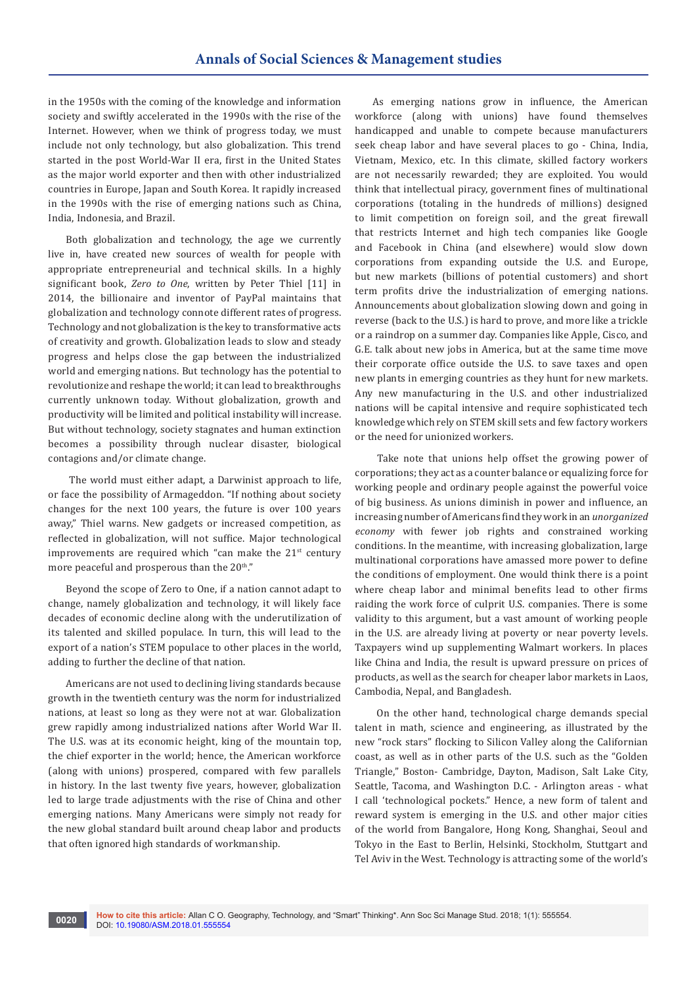in the 1950s with the coming of the knowledge and information society and swiftly accelerated in the 1990s with the rise of the Internet. However, when we think of progress today, we must include not only technology, but also globalization. This trend started in the post World-War II era, first in the United States as the major world exporter and then with other industrialized countries in Europe, Japan and South Korea. It rapidly increased in the 1990s with the rise of emerging nations such as China, India, Indonesia, and Brazil.

Both globalization and technology, the age we currently live in, have created new sources of wealth for people with appropriate entrepreneurial and technical skills. In a highly significant book, *Zero to One*, written by Peter Thiel [11] in 2014, the billionaire and inventor of PayPal maintains that globalization and technology connote different rates of progress. Technology and not globalization is the key to transformative acts of creativity and growth. Globalization leads to slow and steady progress and helps close the gap between the industrialized world and emerging nations. But technology has the potential to revolutionize and reshape the world; it can lead to breakthroughs currently unknown today. Without globalization, growth and productivity will be limited and political instability will increase. But without technology, society stagnates and human extinction becomes a possibility through nuclear disaster, biological contagions and/or climate change.

 The world must either adapt, a Darwinist approach to life, or face the possibility of Armageddon. "If nothing about society changes for the next 100 years, the future is over 100 years away," Thiel warns. New gadgets or increased competition, as reflected in globalization, will not suffice. Major technological improvements are required which "can make the  $21<sup>st</sup>$  century more peaceful and prosperous than the  $20^{\text{th}}$ ."

Beyond the scope of Zero to One, if a nation cannot adapt to change, namely globalization and technology, it will likely face decades of economic decline along with the underutilization of its talented and skilled populace. In turn, this will lead to the export of a nation's STEM populace to other places in the world, adding to further the decline of that nation.

Americans are not used to declining living standards because growth in the twentieth century was the norm for industrialized nations, at least so long as they were not at war. Globalization grew rapidly among industrialized nations after World War II. The U.S. was at its economic height, king of the mountain top, the chief exporter in the world; hence, the American workforce (along with unions) prospered, compared with few parallels in history. In the last twenty five years, however, globalization led to large trade adjustments with the rise of China and other emerging nations. Many Americans were simply not ready for the new global standard built around cheap labor and products that often ignored high standards of workmanship.

As emerging nations grow in influence, the American workforce (along with unions) have found themselves handicapped and unable to compete because manufacturers seek cheap labor and have several places to go - China, India, Vietnam, Mexico, etc. In this climate, skilled factory workers are not necessarily rewarded; they are exploited. You would think that intellectual piracy, government fines of multinational corporations (totaling in the hundreds of millions) designed to limit competition on foreign soil, and the great firewall that restricts Internet and high tech companies like Google and Facebook in China (and elsewhere) would slow down corporations from expanding outside the U.S. and Europe, but new markets (billions of potential customers) and short term profits drive the industrialization of emerging nations. Announcements about globalization slowing down and going in reverse (back to the U.S.) is hard to prove, and more like a trickle or a raindrop on a summer day. Companies like Apple, Cisco, and G.E. talk about new jobs in America, but at the same time move their corporate office outside the U.S. to save taxes and open new plants in emerging countries as they hunt for new markets. Any new manufacturing in the U.S. and other industrialized nations will be capital intensive and require sophisticated tech knowledge which rely on STEM skill sets and few factory workers or the need for unionized workers.

 Take note that unions help offset the growing power of corporations; they act as a counter balance or equalizing force for working people and ordinary people against the powerful voice of big business. As unions diminish in power and influence, an increasing number of Americans find they work in an *unorganized economy* with fewer job rights and constrained working conditions. In the meantime, with increasing globalization, large multinational corporations have amassed more power to define the conditions of employment. One would think there is a point where cheap labor and minimal benefits lead to other firms raiding the work force of culprit U.S. companies. There is some validity to this argument, but a vast amount of working people in the U.S. are already living at poverty or near poverty levels. Taxpayers wind up supplementing Walmart workers. In places like China and India, the result is upward pressure on prices of products, as well as the search for cheaper labor markets in Laos, Cambodia, Nepal, and Bangladesh.

 On the other hand, technological charge demands special talent in math, science and engineering, as illustrated by the new "rock stars" flocking to Silicon Valley along the Californian coast, as well as in other parts of the U.S. such as the "Golden Triangle," Boston- Cambridge, Dayton, Madison, Salt Lake City, Seattle, Tacoma, and Washington D.C. - Arlington areas - what I call 'technological pockets." Hence, a new form of talent and reward system is emerging in the U.S. and other major cities of the world from Bangalore, Hong Kong, Shanghai, Seoul and Tokyo in the East to Berlin, Helsinki, Stockholm, Stuttgart and Tel Aviv in the West. Technology is attracting some of the world's